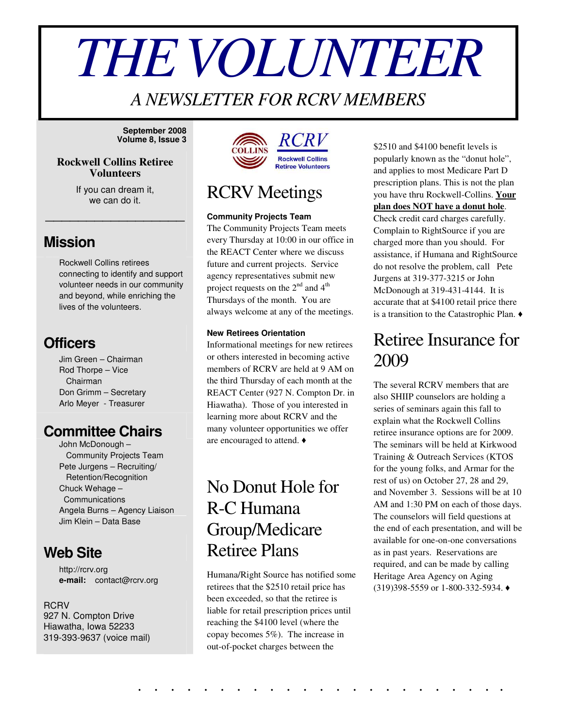# *THEVOLUNTEER*

## *A NEWSLETTER FOR RCRV MEMBERS*

**September 2008 Volume 8, Issue 3**

#### **Rockwell Collins Retiree Volunteers**

If you can dream it, we can do it.

\_\_\_\_\_\_\_\_\_\_\_\_\_\_\_\_\_

#### **Mission**

Rockwell Collins retirees connecting to identify and support volunteer needs in our community and beyond, while enriching the lives of the volunteers.

#### **Officers**

Jim Green – Chairman Rod Thorpe – Vice Chairman Don Grimm – Secretary Arlo Meyer - Treasurer

#### **Committee Chairs**

John McDonough – Community Projects Team Pete Jurgens – Recruiting/ Retention/Recognition Chuck Wehage – Communications Angela Burns – Agency Liaison Jim Klein – Data Base

#### **Web Site**

http://rcrv.org **e-mail:** contact@rcrv.org

#### **RCRV**

927 N. Compton Drive Hiawatha, Iowa 52233 319-393-9637 (voice mail)



## RCRV Meetings

#### **Community Projects Team**

The Community Projects Team meets every Thursday at 10:00 in our office in the REACT Center where we discuss future and current projects. Service agency representatives submit new project requests on the  $2^{nd}$  and  $4^{th}$ Thursdays of the month. You are always welcome at any of the meetings.

#### **New Retirees Orientation**

Informational meetings for new retirees or others interested in becoming active members of RCRV are held at 9 AM on the third Thursday of each month at the REACT Center (927 N. Compton Dr. in Hiawatha). Those of you interested in learning more about RCRV and the many volunteer opportunities we offer are encouraged to attend.

## No Donut Hole for R-C Humana Group/Medicare Retiree Plans

Humana/Right Source has notified some retirees that the \$2510 retail price has been exceeded, so that the retiree is liable for retail prescription prices until reaching the \$4100 level (where the copay becomes 5%). The increase in out-of-pocket charges between the

. . . . . . . . . . . . . . . . . . . . . . .

\$2510 and \$4100 benefit levels is popularly known as the "donut hole", and applies to most Medicare Part D prescription plans. This is not the plan you have thru Rockwell-Collins. **Your plan does NOT have a donut hole**. Check credit card charges carefully. Complain to RightSource if you are charged more than you should. For assistance, if Humana and RightSource do not resolve the problem, call Pete Jurgens at 319-377-3215 or John McDonough at 319-431-4144. It is accurate that at \$4100 retail price there is a transition to the Catastrophic Plan.

## Retiree Insurance for 2009

The several RCRV members that are also SHIIP counselors are holding a series of seminars again this fall to explain what the Rockwell Collins retiree insurance options are for 2009. The seminars will be held at Kirkwood Training & Outreach Services (KTOS for the young folks, and Armar for the rest of us) on October 27, 28 and 29, and November 3. Sessions will be at 10 AM and 1:30 PM on each of those days. The counselors will field questions at the end of each presentation, and will be available for one-on-one conversations as in past years. Reservations are required, and can be made by calling Heritage Area Agency on Aging (319)398-5559 or 1-800-332-5934.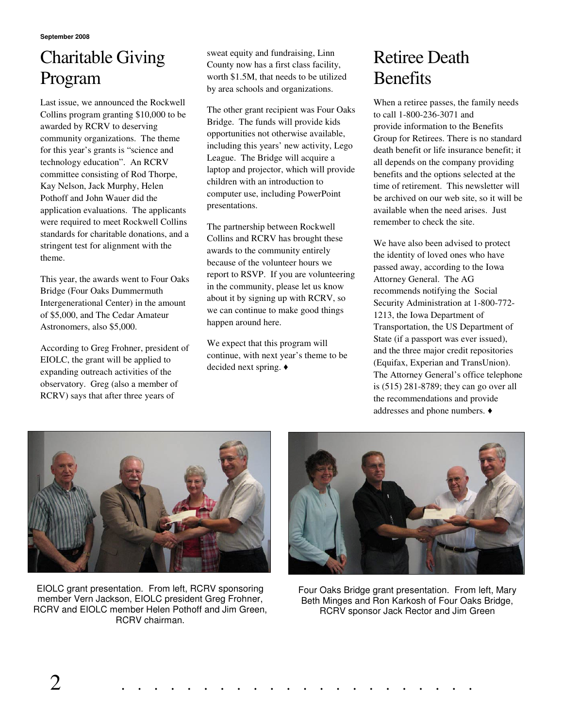# Charitable Giving Program

Last issue, we announced the Rockwell Collins program granting \$10,000 to be awarded by RCRV to deserving community organizations. The theme for this year's grants is "science and technology education". An RCRV committee consisting of Rod Thorpe, Kay Nelson, Jack Murphy, Helen Pothoff and John Wauer did the application evaluations. The applicants were required to meet Rockwell Collins standards for charitable donations, and a stringent test for alignment with the theme.

This year, the awards went to Four Oaks Bridge (Four Oaks Dummermuth Intergenerational Center) in the amount of \$5,000, and The Cedar Amateur Astronomers, also \$5,000.

According to Greg Frohner, president of EIOLC, the grant will be applied to expanding outreach activities of the observatory. Greg (also a member of RCRV) says that after three years of

sweat equity and fundraising, Linn County now has a first class facility, worth \$1.5M, that needs to be utilized by area schools and organizations.

The other grant recipient was Four Oaks Bridge. The funds will provide kids opportunities not otherwise available, including this years' new activity, Lego League. The Bridge will acquire a laptop and projector, which will provide children with an introduction to computer use, including PowerPoint presentations.

The partnership between Rockwell Collins and RCRV has brought these awards to the community entirely because of the volunteer hours we report to RSVP. If you are volunteering in the community, please let us know about it by signing up with RCRV, so we can continue to make good things happen around here.

We expect that this program will continue, with next year's theme to be decided next spring.

# Retiree Death **Benefits**

When a retiree passes, the family needs to call 1-800-236-3071 and provide information to the Benefits Group for Retirees. There is no standard death benefit or life insurance benefit; it all depends on the company providing benefits and the options selected at the time of retirement. This newsletter will be archived on our web site, so it will be available when the need arises. Just remember to check the site.

We have also been advised to protect the identity of loved ones who have passed away, according to the Iowa Attorney General. The AG recommends notifying the Social Security Administration at 1-800-772- 1213, the Iowa Department of Transportation, the US Department of State (if a passport was ever issued), and the three major credit repositories (Equifax, Experian and TransUnion). The Attorney General's office telephone is (515) 281-8789; they can go over all the recommendations and provide addresses and phone numbers.



EIOLC grant presentation. From left, RCRV sponsoring member Vern Jackson, EIOLC president Greg Frohner, RCRV and EIOLC member Helen Pothoff and Jim Green, RCRV chairman.



Four Oaks Bridge grant presentation. From left, Mary Beth Minges and Ron Karkosh of Four Oaks Bridge, RCRV sponsor Jack Rector and Jim Green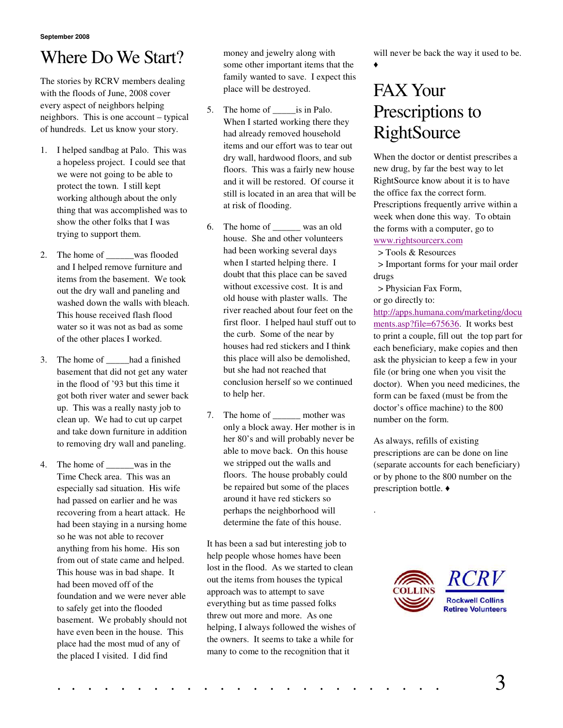## Where Do We Start?

The stories by RCRV members dealing with the floods of June, 2008 cover every aspect of neighbors helping neighbors. This is one account – typical of hundreds. Let us know your story.

- 1. I helped sandbag at Palo. This was a hopeless project. I could see that we were not going to be able to protect the town. I still kept working although about the only thing that was accomplished was to show the other folks that I was trying to support them.
- 2. The home of was flooded and I helped remove furniture and items from the basement. We took out the dry wall and paneling and washed down the walls with bleach. This house received flash flood water so it was not as bad as some of the other places I worked.
- 3. The home of \_\_\_\_\_had a finished basement that did not get any water in the flood of '93 but this time it got both river water and sewer back up. This was a really nasty job to clean up. We had to cut up carpet and take down furniture in addition to removing dry wall and paneling.
- 4. The home of \_\_\_\_\_\_was in the Time Check area. This was an especially sad situation. His wife had passed on earlier and he was recovering from a heart attack. He had been staying in a nursing home so he was not able to recover anything from his home. His son from out of state came and helped. This house was in bad shape. It had been moved off of the foundation and we were never able to safely get into the flooded basement. We probably should not have even been in the house. This place had the most mud of any of the placed I visited. I did find

money and jewelry along with some other important items that the family wanted to save. I expect this place will be destroyed.

- 5. The home of \_\_\_\_\_is in Palo. When I started working there they had already removed household items and our effort was to tear out dry wall, hardwood floors, and sub floors. This was a fairly new house and it will be restored. Of course it still is located in an area that will be at risk of flooding.
- 6. The home of \_\_\_\_\_\_ was an old house. She and other volunteers had been working several days when I started helping there. I doubt that this place can be saved without excessive cost. It is and old house with plaster walls. The river reached about four feet on the first floor. I helped haul stuff out to the curb. Some of the near by houses had red stickers and I think this place will also be demolished, but she had not reached that conclusion herself so we continued to help her.
- 7. The home of \_\_\_\_\_\_\_ mother was only a block away. Her mother is in her 80's and will probably never be able to move back. On this house we stripped out the walls and floors. The house probably could be repaired but some of the places around it have red stickers so perhaps the neighborhood will determine the fate of this house.

It has been a sad but interesting job to help people whose homes have been lost in the flood. As we started to clean out the items from houses the typical approach was to attempt to save everything but as time passed folks threw out more and more. As one helping, I always followed the wishes of the owners. It seems to take a while for many to come to the recognition that it

will never be back the way it used to be.

 $\blacktriangle$ 

# FAX Your Prescriptions to **RightSource**

When the doctor or dentist prescribes a new drug, by far the best way to let RightSource know about it is to have the office fax the correct form. Prescriptions frequently arrive within a week when done this way. To obtain the forms with a computer, go to www.rightsourcerx.com

> Tools & Resources

> Important forms for your mail order drugs

> Physician Fax Form,

or go directly to:

.

[http://apps.humana.com/marketing/docu](http://apps.humana.com/marketing/documents.asp?file=675636) [ments.asp?file=675636.](http://apps.humana.com/marketing/documents.asp?file=675636) It works best to print a couple, fill out the top part for each beneficiary, make copies and then ask the physician to keep a few in your file (or bring one when you visit the doctor). When you need medicines, the form can be faxed (must be from the doctor's office machine) to the 800 number on the form.

As always, refills of existing prescriptions are can be done on line (separate accounts for each beneficiary) or by phone to the 800 number on the prescription bottle.